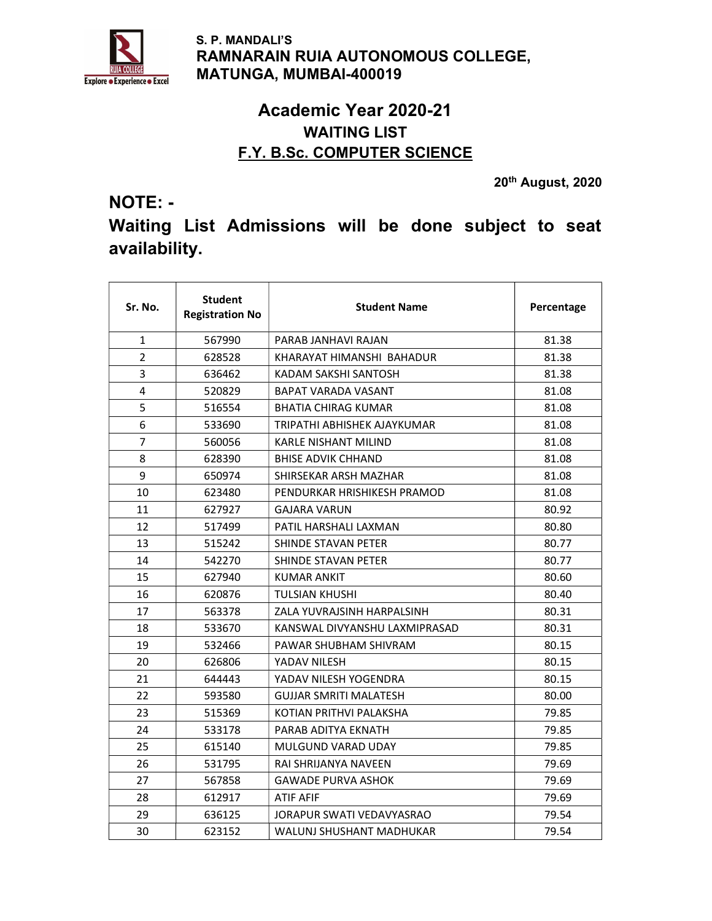

 S. P. MANDALI'S RAMNARAIN RUIA AUTONOMOUS COLLEGE, MATUNGA, MUMBAI-400019

### Academic Year 2020-21 WAITING LIST F.Y. B.Sc. COMPUTER SCIENCE

NOTE: -

20th August, 2020

# Waiting List Admissions will be done subject to seat availability.

| Sr. No.        | <b>Student</b><br><b>Registration No</b> | <b>Student Name</b>           | Percentage |
|----------------|------------------------------------------|-------------------------------|------------|
| 1              | 567990                                   | PARAB JANHAVI RAJAN           | 81.38      |
| $\overline{2}$ | 628528                                   | KHARAYAT HIMANSHI BAHADUR     | 81.38      |
| 3              | 636462                                   | KADAM SAKSHI SANTOSH          | 81.38      |
| 4              | 520829                                   | BAPAT VARADA VASANT           | 81.08      |
| 5              | 516554                                   | <b>BHATIA CHIRAG KUMAR</b>    | 81.08      |
| 6              | 533690                                   | TRIPATHI ABHISHEK AJAYKUMAR   | 81.08      |
| $\overline{7}$ | 560056                                   | <b>KARLE NISHANT MILIND</b>   | 81.08      |
| 8              | 628390                                   | <b>BHISE ADVIK CHHAND</b>     | 81.08      |
| 9              | 650974                                   | SHIRSEKAR ARSH MAZHAR         | 81.08      |
| 10             | 623480                                   | PENDURKAR HRISHIKESH PRAMOD   | 81.08      |
| 11             | 627927                                   | GAJARA VARUN                  | 80.92      |
| 12             | 517499                                   | PATIL HARSHALI LAXMAN         | 80.80      |
| 13             | 515242                                   | SHINDE STAVAN PETER           | 80.77      |
| 14             | 542270                                   | SHINDE STAVAN PETER           | 80.77      |
| 15             | 627940                                   | KUMAR ANKIT                   | 80.60      |
| 16             | 620876                                   | TULSIAN KHUSHI                | 80.40      |
| 17             | 563378                                   | ZALA YUVRAJSINH HARPALSINH    | 80.31      |
| 18             | 533670                                   | KANSWAL DIVYANSHU LAXMIPRASAD | 80.31      |
| 19             | 532466                                   | PAWAR SHUBHAM SHIVRAM         | 80.15      |
| 20             | 626806                                   | YADAV NILESH                  | 80.15      |
| 21             | 644443                                   | YADAV NILESH YOGENDRA         | 80.15      |
| 22             | 593580                                   | <b>GUJJAR SMRITI MALATESH</b> | 80.00      |
| 23             | 515369                                   | KOTIAN PRITHVI PALAKSHA       | 79.85      |
| 24             | 533178                                   | PARAB ADITYA EKNATH           | 79.85      |
| 25             | 615140                                   | <b>MULGUND VARAD UDAY</b>     | 79.85      |
| 26             | 531795                                   | RAI SHRIJANYA NAVEEN          | 79.69      |
| 27             | 567858                                   | <b>GAWADE PURVA ASHOK</b>     | 79.69      |
| 28             | 612917                                   | <b>ATIF AFIF</b>              | 79.69      |
| 29             | 636125                                   | JORAPUR SWATI VEDAVYASRAO     | 79.54      |
| 30             | 623152                                   | WALUNJ SHUSHANT MADHUKAR      | 79.54      |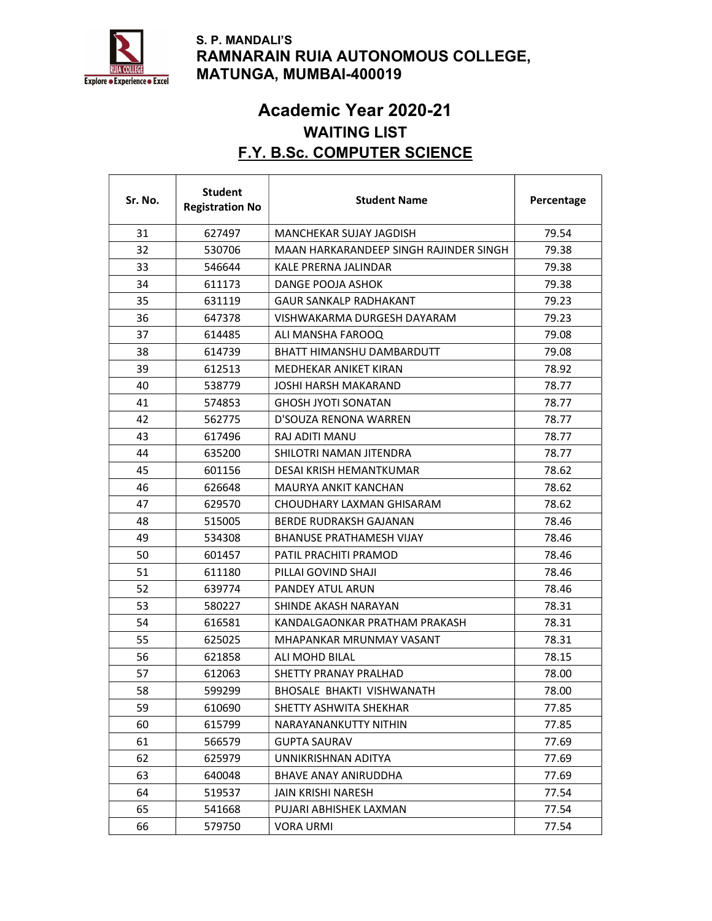

#### S. P. MANDALI'S RAMNARAIN RUIA AUTONOMOUS COLLEGE, MATUNGA, MUMBAI-400019

## Academic Year 2020-21 WAITING LIST F.Y. B.Sc. COMPUTER SCIENCE

 $\overline{\mathsf{I}}$ 

 $\overline{\phantom{a}}$ 

| Sr. No. | <b>Student</b><br><b>Registration No</b> | <b>Student Name</b>                    | Percentage |
|---------|------------------------------------------|----------------------------------------|------------|
| 31      | 627497                                   | MANCHEKAR SUJAY JAGDISH                | 79.54      |
| 32      | 530706                                   | MAAN HARKARANDEEP SINGH RAJINDER SINGH | 79.38      |
| 33      | 546644                                   | KALE PRERNA JALINDAR                   | 79.38      |
| 34      | 611173                                   | DANGE POOJA ASHOK                      | 79.38      |
| 35      | 631119                                   | <b>GAUR SANKALP RADHAKANT</b>          | 79.23      |
| 36      | 647378                                   | VISHWAKARMA DURGESH DAYARAM            | 79.23      |
| 37      | 614485                                   | ALI MANSHA FAROOQ                      | 79.08      |
| 38      | 614739                                   | BHATT HIMANSHU DAMBARDUTT              | 79.08      |
| 39      | 612513                                   | MEDHEKAR ANIKET KIRAN                  | 78.92      |
| 40      | 538779                                   | JOSHI HARSH MAKARAND                   | 78.77      |
| 41      | 574853                                   | <b>GHOSH JYOTI SONATAN</b>             | 78.77      |
| 42      | 562775                                   | D'SOUZA RENONA WARREN                  | 78.77      |
| 43      | 617496                                   | RAJ ADITI MANU                         | 78.77      |
| 44      | 635200                                   | SHILOTRI NAMAN JITENDRA                | 78.77      |
| 45      | 601156                                   | DESAI KRISH HEMANTKUMAR                | 78.62      |
| 46      | 626648                                   | MAURYA ANKIT KANCHAN                   | 78.62      |
| 47      | 629570                                   | CHOUDHARY LAXMAN GHISARAM              | 78.62      |
| 48      | 515005                                   | BERDE RUDRAKSH GAJANAN                 | 78.46      |
| 49      | 534308                                   | <b>BHANUSE PRATHAMESH VIJAY</b>        | 78.46      |
| 50      | 601457                                   | PATIL PRACHITI PRAMOD                  | 78.46      |
| 51      | 611180                                   | PILLAI GOVIND SHAJI                    | 78.46      |
| 52      | 639774                                   | PANDEY ATUL ARUN                       | 78.46      |
| 53      | 580227                                   | SHINDE AKASH NARAYAN                   | 78.31      |
| 54      | 616581                                   | KANDALGAONKAR PRATHAM PRAKASH          | 78.31      |
| 55      | 625025                                   | MHAPANKAR MRUNMAY VASANT               | 78.31      |
| 56      | 621858                                   | ALI MOHD BILAL                         | 78.15      |
| 57      | 612063                                   | SHETTY PRANAY PRALHAD                  | 78.00      |
| 58      | 599299                                   | BHOSALE BHAKTI VISHWANATH              | 78.00      |
| 59      | 610690                                   | SHETTY ASHWITA SHEKHAR                 | 77.85      |
| 60      | 615799                                   | NARAYANANKUTTY NITHIN                  | 77.85      |
| 61      | 566579                                   | <b>GUPTA SAURAV</b>                    | 77.69      |
| 62      | 625979                                   | UNNIKRISHNAN ADITYA                    | 77.69      |
| 63      | 640048                                   | <b>BHAVE ANAY ANIRUDDHA</b>            | 77.69      |
| 64      | 519537                                   | <b>JAIN KRISHI NARESH</b>              | 77.54      |
| 65      | 541668                                   | PUJARI ABHISHEK LAXMAN                 | 77.54      |
| 66      | 579750                                   | <b>VORA URMI</b>                       | 77.54      |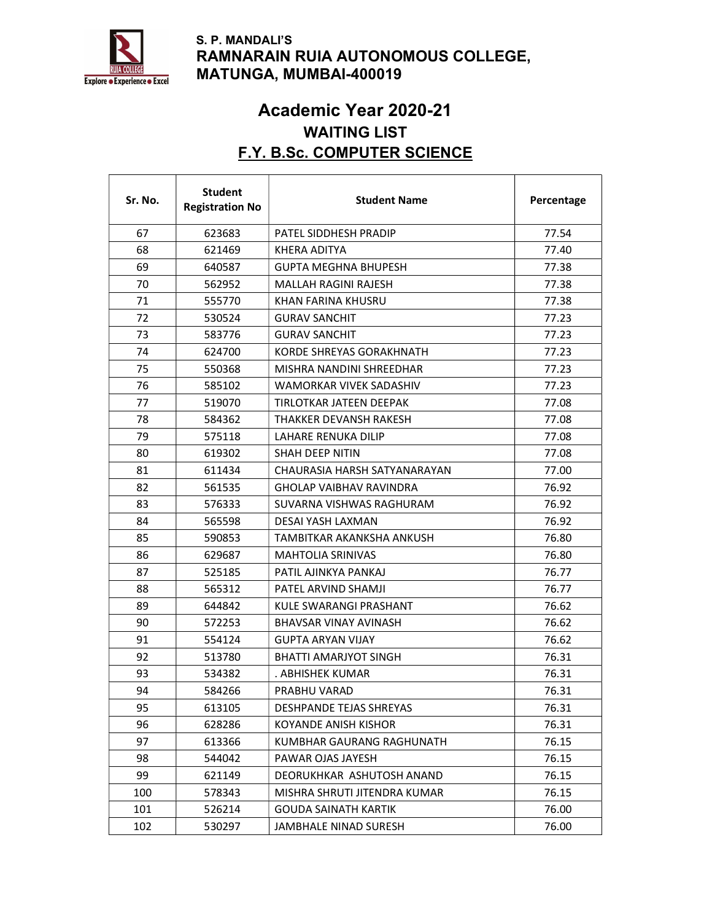

 $\Gamma$ 

⊤

#### S. P. MANDALI'S RAMNARAIN RUIA AUTONOMOUS COLLEGE, MATUNGA, MUMBAI-400019

## Academic Year 2020-21 WAITING LIST F.Y. B.Sc. COMPUTER SCIENCE

 $\top$ 

٦

Τ

| Sr. No. | <b>Student</b><br><b>Registration No</b> | <b>Student Name</b>            | Percentage |
|---------|------------------------------------------|--------------------------------|------------|
| 67      | 623683                                   | PATEL SIDDHESH PRADIP          | 77.54      |
| 68      | 621469                                   | KHERA ADITYA                   | 77.40      |
| 69      | 640587                                   | <b>GUPTA MEGHNA BHUPESH</b>    | 77.38      |
| 70      | 562952                                   | MALLAH RAGINI RAJESH           | 77.38      |
| 71      | 555770                                   | KHAN FARINA KHUSRU             | 77.38      |
| 72      | 530524                                   | <b>GURAV SANCHIT</b>           | 77.23      |
| 73      | 583776                                   | <b>GURAV SANCHIT</b>           | 77.23      |
| 74      | 624700                                   | KORDE SHREYAS GORAKHNATH       | 77.23      |
| 75      | 550368                                   | MISHRA NANDINI SHREEDHAR       | 77.23      |
| 76      | 585102                                   | WAMORKAR VIVEK SADASHIV        | 77.23      |
| 77      | 519070                                   | TIRLOTKAR JATEEN DEEPAK        | 77.08      |
| 78      | 584362                                   | THAKKER DEVANSH RAKESH         | 77.08      |
| 79      | 575118                                   | LAHARE RENUKA DILIP            | 77.08      |
| 80      | 619302                                   | <b>SHAH DEEP NITIN</b>         | 77.08      |
| 81      | 611434                                   | CHAURASIA HARSH SATYANARAYAN   | 77.00      |
| 82      | 561535                                   | <b>GHOLAP VAIBHAV RAVINDRA</b> | 76.92      |
| 83      | 576333                                   | SUVARNA VISHWAS RAGHURAM       | 76.92      |
| 84      | 565598                                   | DESAI YASH LAXMAN              | 76.92      |
| 85      | 590853                                   | TAMBITKAR AKANKSHA ANKUSH      | 76.80      |
| 86      | 629687                                   | <b>MAHTOLIA SRINIVAS</b>       | 76.80      |
| 87      | 525185                                   | PATIL AJINKYA PANKAJ           | 76.77      |
| 88      | 565312                                   | PATEL ARVIND SHAMJI            | 76.77      |
| 89      | 644842                                   | KULE SWARANGI PRASHANT         | 76.62      |
| 90      | 572253                                   | BHAVSAR VINAY AVINASH          | 76.62      |
| 91      | 554124                                   | <b>GUPTA ARYAN VIJAY</b>       | 76.62      |
| 92      | 513780                                   | <b>BHATTI AMARJYOT SINGH</b>   | 76.31      |
| 93      | 534382                                   | . ABHISHEK KUMAR               | 76.31      |
| 94      | 584266                                   | PRABHU VARAD                   | 76.31      |
| 95      | 613105                                   | DESHPANDE TEJAS SHREYAS        | 76.31      |
| 96      | 628286                                   | <b>KOYANDE ANISH KISHOR</b>    | 76.31      |
| 97      | 613366                                   | KUMBHAR GAURANG RAGHUNATH      | 76.15      |
| 98      | 544042                                   | PAWAR OJAS JAYESH              | 76.15      |
| 99      | 621149                                   | DEORUKHKAR ASHUTOSH ANAND      | 76.15      |
| 100     | 578343                                   | MISHRA SHRUTI JITENDRA KUMAR   | 76.15      |
| 101     | 526214                                   | <b>GOUDA SAINATH KARTIK</b>    | 76.00      |
| 102     | 530297                                   | JAMBHALE NINAD SURESH          | 76.00      |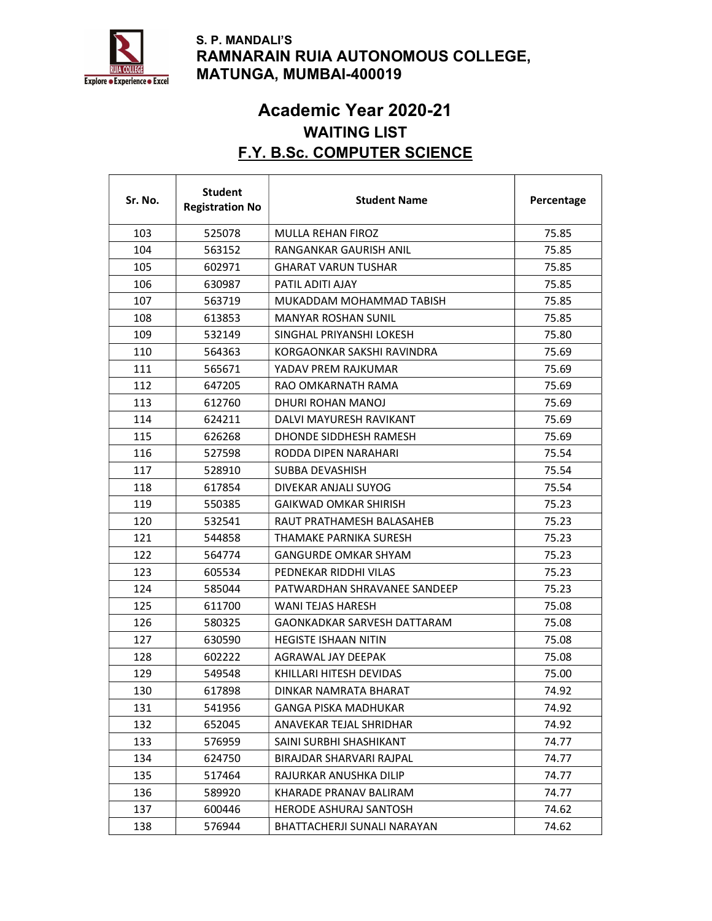

 $\mathsf{r}$ 

 $\mathbf{I}$ 

#### S. P. MANDALI'S RAMNARAIN RUIA AUTONOMOUS COLLEGE, MATUNGA, MUMBAI-400019

## Academic Year 2020-21 WAITING LIST F.Y. B.Sc. COMPUTER SCIENCE

T

 $\top$ 

٦

| Sr. No. | <b>Student</b><br><b>Registration No</b> | <b>Student Name</b>          | Percentage |
|---------|------------------------------------------|------------------------------|------------|
| 103     | 525078                                   | MULLA REHAN FIROZ            | 75.85      |
| 104     | 563152                                   | RANGANKAR GAURISH ANIL       | 75.85      |
| 105     | 602971                                   | <b>GHARAT VARUN TUSHAR</b>   | 75.85      |
| 106     | 630987                                   | PATIL ADITI AJAY             | 75.85      |
| 107     | 563719                                   | MUKADDAM MOHAMMAD TABISH     | 75.85      |
| 108     | 613853                                   | MANYAR ROSHAN SUNIL          | 75.85      |
| 109     | 532149                                   | SINGHAL PRIYANSHI LOKESH     | 75.80      |
| 110     | 564363                                   | KORGAONKAR SAKSHI RAVINDRA   | 75.69      |
| 111     | 565671                                   | YADAV PREM RAJKUMAR          | 75.69      |
| 112     | 647205                                   | RAO OMKARNATH RAMA           | 75.69      |
| 113     | 612760                                   | DHURI ROHAN MANOJ            | 75.69      |
| 114     | 624211                                   | DALVI MAYURESH RAVIKANT      | 75.69      |
| 115     | 626268                                   | DHONDE SIDDHESH RAMESH       | 75.69      |
| 116     | 527598                                   | RODDA DIPEN NARAHARI         | 75.54      |
| 117     | 528910                                   | SUBBA DEVASHISH              | 75.54      |
| 118     | 617854                                   | DIVEKAR ANJALI SUYOG         | 75.54      |
| 119     | 550385                                   | GAIKWAD OMKAR SHIRISH        | 75.23      |
| 120     | 532541                                   | RAUT PRATHAMESH BALASAHEB    | 75.23      |
| 121     | 544858                                   | THAMAKE PARNIKA SURESH       | 75.23      |
| 122     | 564774                                   | <b>GANGURDE OMKAR SHYAM</b>  | 75.23      |
| 123     | 605534                                   | PEDNEKAR RIDDHI VILAS        | 75.23      |
| 124     | 585044                                   | PATWARDHAN SHRAVANEE SANDEEP | 75.23      |
| 125     | 611700                                   | <b>WANI TEJAS HARESH</b>     | 75.08      |
| 126     | 580325                                   | GAONKADKAR SARVESH DATTARAM  | 75.08      |
| 127     | 630590                                   | HEGISTE ISHAAN NITIN         | 75.08      |
| 128     | 602222                                   | AGRAWAL JAY DEEPAK           | 75.08      |
| 129     | 549548                                   | KHILLARI HITESH DEVIDAS      | 75.00      |
| 130     | 617898                                   | DINKAR NAMRATA BHARAT        | 74.92      |
| 131     | 541956                                   | <b>GANGA PISKA MADHUKAR</b>  | 74.92      |
| 132     | 652045                                   | ANAVEKAR TEJAL SHRIDHAR      | 74.92      |
| 133     | 576959                                   | SAINI SURBHI SHASHIKANT      | 74.77      |
| 134     | 624750                                   | BIRAJDAR SHARVARI RAJPAL     | 74.77      |
| 135     | 517464                                   | RAJURKAR ANUSHKA DILIP       | 74.77      |
| 136     | 589920                                   | KHARADE PRANAV BALIRAM       | 74.77      |
| 137     | 600446                                   | HERODE ASHURAJ SANTOSH       | 74.62      |
| 138     | 576944                                   | BHATTACHERJI SUNALI NARAYAN  | 74.62      |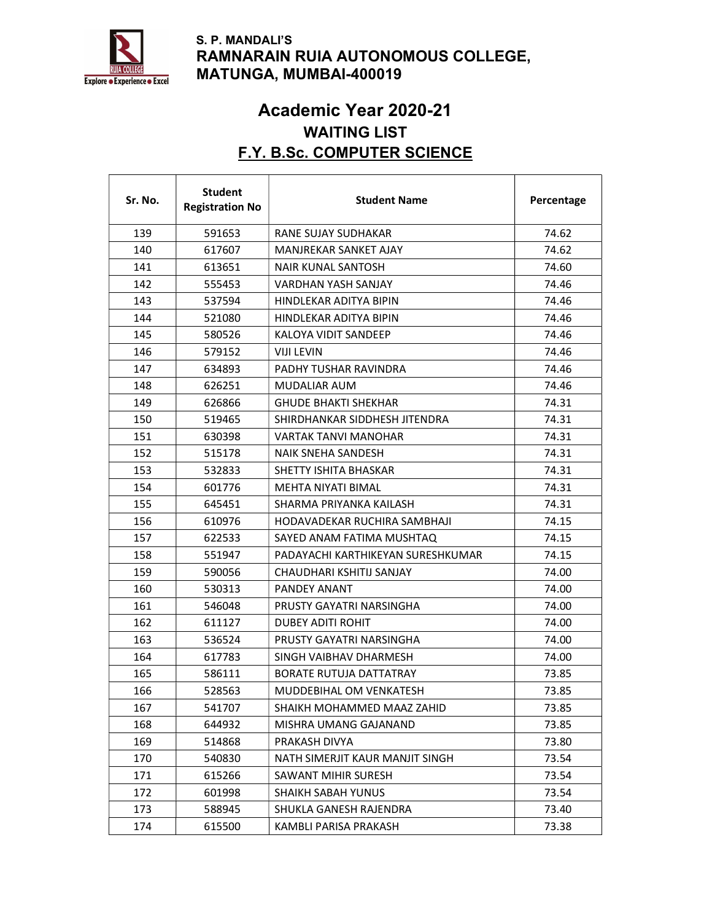

 $\mathsf{r}$ 

 $\mathbf{I}$ 

#### S. P. MANDALI'S RAMNARAIN RUIA AUTONOMOUS COLLEGE, MATUNGA, MUMBAI-400019

## Academic Year 2020-21 WAITING LIST F.Y. B.Sc. COMPUTER SCIENCE

T

 $\top$ 

٦

| Sr. No. | <b>Student</b><br><b>Registration No</b> | <b>Student Name</b>               | Percentage |
|---------|------------------------------------------|-----------------------------------|------------|
| 139     | 591653                                   | RANE SUJAY SUDHAKAR               | 74.62      |
| 140     | 617607                                   | MANJREKAR SANKET AJAY             | 74.62      |
| 141     | 613651                                   | NAIR KUNAL SANTOSH                | 74.60      |
| 142     | 555453                                   | <b>VARDHAN YASH SANJAY</b>        | 74.46      |
| 143     | 537594                                   | HINDI FKAR ADITYA BIPIN           | 74.46      |
| 144     | 521080                                   | HINDLEKAR ADITYA BIPIN            | 74.46      |
| 145     | 580526                                   | KALOYA VIDIT SANDEEP              | 74.46      |
| 146     | 579152                                   | <b>VIJI LEVIN</b>                 | 74.46      |
| 147     | 634893                                   | PADHY TUSHAR RAVINDRA             | 74.46      |
| 148     | 626251                                   | MUDALIAR AUM                      | 74.46      |
| 149     | 626866                                   | <b>GHUDE BHAKTI SHEKHAR</b>       | 74.31      |
| 150     | 519465                                   | SHIRDHANKAR SIDDHESH JITENDRA     | 74.31      |
| 151     | 630398                                   | <b>VARTAK TANVI MANOHAR</b>       | 74.31      |
| 152     | 515178                                   | NAIK SNEHA SANDESH                | 74.31      |
| 153     | 532833                                   | SHETTY ISHITA BHASKAR             | 74.31      |
| 154     | 601776                                   | MEHTA NIYATI BIMAL                | 74.31      |
| 155     | 645451                                   | SHARMA PRIYANKA KAILASH           | 74.31      |
| 156     | 610976                                   | HODAVADEKAR RUCHIRA SAMBHAJI      | 74.15      |
| 157     | 622533                                   | SAYED ANAM FATIMA MUSHTAQ         | 74.15      |
| 158     | 551947                                   | PADAYACHI KARTHIKEYAN SURESHKUMAR | 74.15      |
| 159     | 590056                                   | CHAUDHARI KSHITIJ SANJAY          | 74.00      |
| 160     | 530313                                   | PANDEY ANANT                      | 74.00      |
| 161     | 546048                                   | PRUSTY GAYATRI NARSINGHA          | 74.00      |
| 162     | 611127                                   | DUBEY ADITI ROHIT                 | 74.00      |
| 163     | 536524                                   | PRUSTY GAYATRI NARSINGHA          | 74.00      |
| 164     | 617783                                   | SINGH VAIBHAV DHARMESH            | 74.00      |
| 165     | 586111                                   | BORATE RUTUJA DATTATRAY           | 73.85      |
| 166     | 528563                                   | MUDDEBIHAL OM VENKATESH           | 73.85      |
| 167     | 541707                                   | SHAIKH MOHAMMED MAAZ ZAHID        | 73.85      |
| 168     | 644932                                   | MISHRA UMANG GAJANAND             | 73.85      |
| 169     | 514868                                   | PRAKASH DIVYA                     | 73.80      |
| 170     | 540830                                   | NATH SIMERJIT KAUR MANJIT SINGH   | 73.54      |
| 171     | 615266                                   | SAWANT MIHIR SURESH               | 73.54      |
| 172     | 601998                                   | <b>SHAIKH SABAH YUNUS</b>         | 73.54      |
| 173     | 588945                                   | SHUKLA GANESH RAJENDRA            | 73.40      |
| 174     | 615500                                   | KAMBLI PARISA PRAKASH             | 73.38      |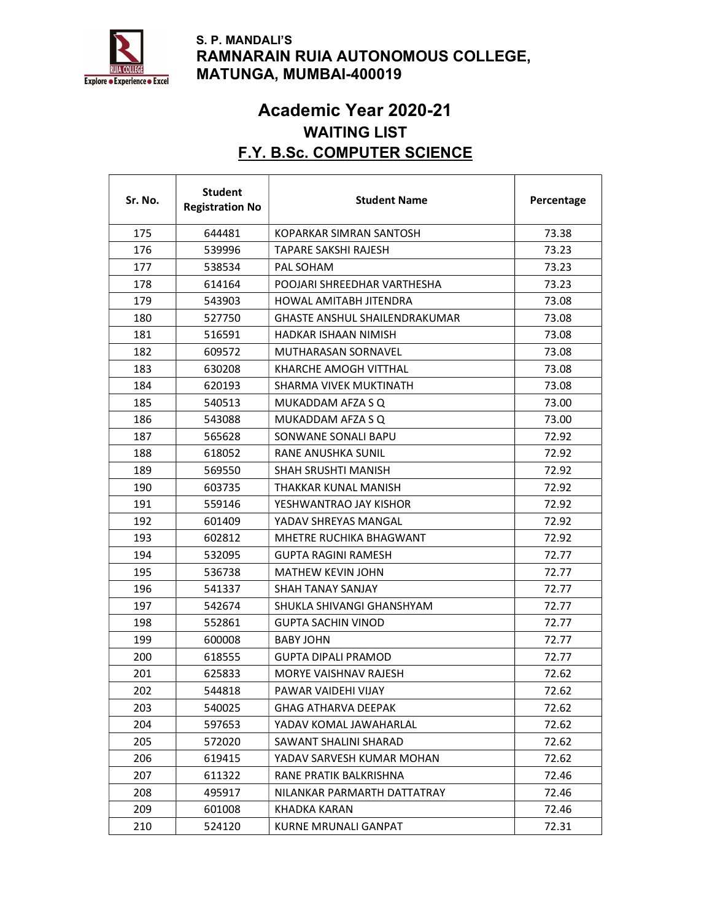

#### S. P. MANDALI'S RAMNARAIN RUIA AUTONOMOUS COLLEGE, MATUNGA, MUMBAI-400019

## Academic Year 2020-21 WAITING LIST F.Y. B.Sc. COMPUTER SCIENCE

 $\overline{\mathsf{I}}$ 

 $\overline{\phantom{a}}$ 

| Sr. No. | <b>Student</b><br><b>Registration No</b> | <b>Student Name</b>                  | Percentage |
|---------|------------------------------------------|--------------------------------------|------------|
| 175     | 644481                                   | KOPARKAR SIMRAN SANTOSH              | 73.38      |
| 176     | 539996                                   | TAPARE SAKSHI RAJESH                 | 73.23      |
| 177     | 538534                                   | PAL SOHAM                            | 73.23      |
| 178     | 614164                                   | POOJARI SHREEDHAR VARTHESHA          | 73.23      |
| 179     | 543903                                   | HOWAL AMITABH JITENDRA               | 73.08      |
| 180     | 527750                                   | <b>GHASTE ANSHUL SHAILENDRAKUMAR</b> | 73.08      |
| 181     | 516591                                   | HADKAR ISHAAN NIMISH                 | 73.08      |
| 182     | 609572                                   | MUTHARASAN SORNAVEL                  | 73.08      |
| 183     | 630208                                   | KHARCHE AMOGH VITTHAL                | 73.08      |
| 184     | 620193                                   | SHARMA VIVEK MUKTINATH               | 73.08      |
| 185     | 540513                                   | MUKADDAM AFZA S Q                    | 73.00      |
| 186     | 543088                                   | MUKADDAM AFZA S O                    | 73.00      |
| 187     | 565628                                   | SONWANE SONALI BAPU                  | 72.92      |
| 188     | 618052                                   | RANE ANUSHKA SUNIL                   | 72.92      |
| 189     | 569550                                   | <b>SHAH SRUSHTI MANISH</b>           | 72.92      |
| 190     | 603735                                   | THAKKAR KUNAL MANISH                 | 72.92      |
| 191     | 559146                                   | YESHWANTRAO JAY KISHOR               | 72.92      |
| 192     | 601409                                   | YADAV SHREYAS MANGAL                 | 72.92      |
| 193     | 602812                                   | MHETRE RUCHIKA BHAGWANT              | 72.92      |
| 194     | 532095                                   | GUPTA RAGINI RAMESH                  | 72.77      |
| 195     | 536738                                   | <b>MATHEW KEVIN JOHN</b>             | 72.77      |
| 196     | 541337                                   | SHAH TANAY SANJAY                    | 72.77      |
| 197     | 542674                                   | SHUKLA SHIVANGI GHANSHYAM            | 72.77      |
| 198     | 552861                                   | <b>GUPTA SACHIN VINOD</b>            | 72.77      |
| 199     | 600008                                   | <b>BABY JOHN</b>                     | 72.77      |
| 200     | 618555                                   | <b>GUPTA DIPALI PRAMOD</b>           | 72.77      |
| 201     | 625833                                   | MORYE VAISHNAV RAJESH                | 72.62      |
| 202     | 544818                                   | PAWAR VAIDEHI VIJAY                  | 72.62      |
| 203     | 540025                                   | <b>GHAG ATHARVA DEEPAK</b>           | 72.62      |
| 204     | 597653                                   | YADAV KOMAL JAWAHARLAL               | 72.62      |
| 205     | 572020                                   | SAWANT SHALINI SHARAD                | 72.62      |
| 206     | 619415                                   | YADAV SARVESH KUMAR MOHAN            | 72.62      |
| 207     | 611322                                   | RANE PRATIK BALKRISHNA               | 72.46      |
| 208     | 495917                                   | NILANKAR PARMARTH DATTATRAY          | 72.46      |
| 209     | 601008                                   | KHADKA KARAN                         | 72.46      |
| 210     | 524120                                   | KURNE MRUNALI GANPAT                 | 72.31      |